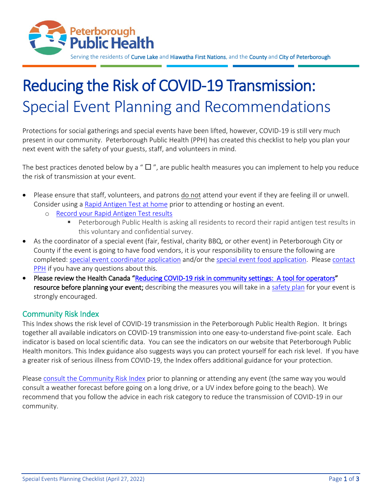

Serving the residents of Curve Lake and Hiawatha First Nations, and the County and City of Peterborough

# Reducing the Risk of COVID-19 Transmission: Special Event Planning and Recommendations

Protections for social gatherings and special events have been lifted, however, COVID-19 is still very much present in our community. Peterborough Public Health (PPH) has created this checklist to help you plan your next event with the safety of your guests, staff, and volunteers in mind.

The best practices denoted below by a " $\Box$ ", are public health measures you can implement to help you reduce the risk of transmission at your event.

- Please ensure that staff, volunteers, and patrons do not attend your event if they are feeling ill or unwell. Consider using [a Rapid Antigen Test at home](https://www.ontario.ca/page/rapid-testing-home-use) prior to attending or hosting an event.
	- o [Record your Rapid Antigen Test results](https://s-ca.chkmkt.com/?e=253453&h=31E066CB939DE8E&l=en)
		- Peterborough Public Health is asking all residents to record their rapid antigen test results in this voluntary and confidential survey.
- As the coordinator of a special event (fair, festival, charity BBQ, or other event) in Peterborough City or County if the event is going to have food vendors, it is your responsibility to ensure the following are completed: [special event coordinator application](https://www.peterboroughpublichealth.ca/wp-content/uploads/documents/2017-PPH-Special-Events-COORDINATORS-REQUIREMENTS-fillable.pdf) and/or the [special event food application.](https://www.peterboroughpublichealth.ca/wp-content/uploads/documents/2017-PPH-Special-Events-FOOD-VENDOR-REQUIREMENTS-fillable.pdf) Please [contact](https://www.peterboroughpublichealth.ca/contact-us/)  [PPH](https://www.peterboroughpublichealth.ca/contact-us/) if you have any questions about this.
- Please review the Health Canada "[Reducing COVID-19 risk in community settings: A tool for operators](https://health.canada.ca/en/public-health/services/diseases/2019-novel-coronavirus-infection/guidance-documents/reducing-covid-19-risk-community-settings-tool-operators.html#a3)" resource before planning your event; describing the measures you will take in a [safety plan](https://www.ontario.ca/page/guide-developing-your-covid-19-workplace-safety-plan) for your event is strongly encouraged.

#### Community Risk Index

This Index shows the risk level of COVID-19 transmission in the Peterborough Public Health Region. It brings together all available indicators on COVID-19 transmission into one easy-to-understand five-point scale. Each indicator is based on local scientific data. You can see the indicators on our website that Peterborough Public Health monitors. This Index guidance also suggests ways you can protect yourself for each risk level. If you have a greater risk of serious illness from COVID-19, the Index offers additional guidance for your protection.

Please [consult the Community Risk Index](https://www.peterboroughpublichealth.ca/covid-19-risk-index/) prior to planning or attending any event (the same way you would consult a weather forecast before going on a long drive, or a UV index before going to the beach). We recommend that you follow the advice in each risk category to reduce the transmission of COVID-19 in our community.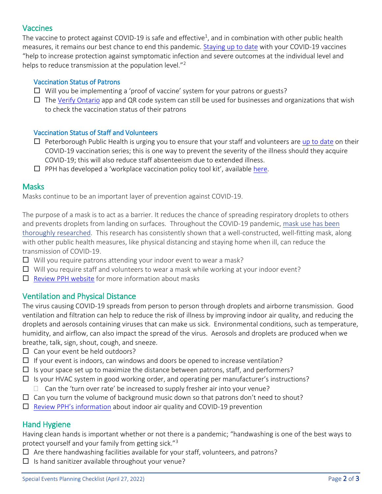# Vaccines

The vaccine to protect against COVID-19 is safe and effective<sup>1</sup>, and in combination with other public health measures, it remains our best chance to end this pandemic. [Staying up to date](https://www.health.gov.on.ca/en/pro/programs/publichealth/coronavirus/docs/vaccine/COVID_19_vaccine_up_to_date.pdf) with your COVID-19 vaccines "help to increase protection against symptomatic infection and severe outcomes at the individual level and helps to reduce transmission at the population level."<sup>2</sup>

#### Vaccination Status of Patrons

- $\Box$  Will you be implementing a 'proof of vaccine' system for your patrons or guests?
- $\Box$  The [Verify Ontario](https://covid-19.ontario.ca/proof-covid-19-vaccination) app and QR code system can still be used for businesses and organizations that wish to check the vaccination status of their patrons

#### Vaccination Status of Staff and Volunteers

- $\Box$  Peterborough Public Health is urging you to ensure that your staff and volunteers are [up to date](https://www.health.gov.on.ca/en/pro/programs/publichealth/coronavirus/docs/vaccine/COVID_19_vaccine_up_to_date.pdf) on their COVID-19 vaccination series; this is one way to prevent the severity of the illness should they acquire COVID-19; this will also reduce staff absenteeism due to extended illness.
- $\Box$  PPH has developed a 'workplace vaccination policy tool kit', available [here.](https://www.peterboroughpublichealth.ca/novel-coronavirus-covid-19/covid-19-workplace-vaccination/)

#### **Masks**

Masks continue to be an important layer of prevention against COVID-19.

The purpose of a mask is to act as a barrier. It reduces the chance of spreading respiratory droplets to others and prevents droplets from landing on surfaces. Throughout the COVID-19 pandemic, mask use has been [thoroughly researched.](https://www.publichealthontario.ca/en/diseases-and-conditions/infectious-diseases/respiratory-diseases/novel-coronavirus/what-we-know) This research has consistently shown that a well-constructed, well-fitting mask, along with other public health measures, like physical distancing and staying home when ill, can reduce the transmission of COVID-19.

- $\Box$  Will you require patrons attending your indoor event to wear a mask?
- $\Box$  Will you require staff and volunteers to wear a mask while working at your indoor event?
- $\Box$  [Review PPH website](https://www.peterboroughpublichealth.ca/novel-coronavirus-covid-19/masks-and-personal-protective-equipment-ppe/) for more information about masks

#### Ventilation and Physical Distance

The virus causing COVID-19 spreads from person to person through droplets and airborne transmission. Good ventilation and filtration can help to reduce the risk of illness by improving indoor air quality, and reducing the droplets and aerosols containing viruses that can make us sick. Environmental conditions, such as temperature, humidity, and airflow, can also impact the spread of the virus. Aerosols and droplets are produced when we breathe, talk, sign, shout, cough, and sneeze.

- $\Box$  Can your event be held outdoors?
- $\Box$  If your event is indoors, can windows and doors be opened to increase ventilation?
- $\Box$  Is your space set up to maximize the distance between patrons, staff, and performers?
- $\Box$  Is your HVAC system in good working order, and operating per manufacturer's instructions?
- $\Box$  Can the 'turn over rate' be increased to supply fresher air into your venue?
- $\Box$  Can you turn the volume of background music down so that patrons don't need to shout?
- $\Box$  [Review PPH's information](file:///C:/Users/kbeecroft/Desktop/Learn%20more%20about%20indoor%20air%20quality%20and%20COVID-19%20prevention) about indoor air quality and COVID-19 prevention

#### Hand Hygiene

Having clean hands is important whether or not there is a pandemic; "handwashing is one of the best ways to protect yourself and your family from getting sick."<sup>3</sup>

- $\Box$  Are there handwashing facilities available for your staff, volunteers, and patrons?
- $\Box$  Is hand sanitizer available throughout your venue?